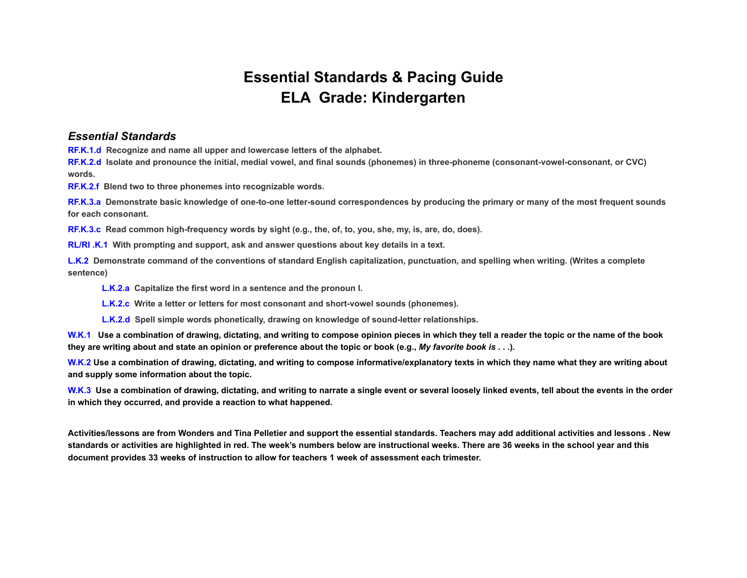## **Essential Standards & Pacing Guide ELA Grade: Kindergarten**

## *Essential Standards*

**RF.K.1.d Recognize and name all upper and lowercase letters of the alphabet.**

**RF.K.2.d Isolate and pronounce the initial, medial vowel, and final sounds (phonemes) in three-phoneme (consonant-vowel-consonant, or CVC) words.**

**RF.K.2.f Blend two to three phonemes into recognizable words.**

**RF.K.3.a Demonstrate basic knowledge of one-to-one letter-sound correspondences by producing the primary or many of the most frequent sounds for each consonant.**

**RF.K.3.c Read common high-frequency words by sight (e.g., the, of, to, you, she, my, is, are, do, does).**

**RL/RI .K.1 With prompting and support, ask and answer questions about key details in a text.**

**L.K.2 Demonstrate command of the conventions of standard English capitalization, punctuation, and spelling when writing. (Writes a complete sentence)**

**L.K.2.a Capitalize the first word in a sentence and the pronoun I.**

**L.K.2.c Write a letter or letters for most consonant and short-vowel sounds (phonemes).**

**L.K.2.d Spell simple words phonetically, drawing on knowledge of sound-letter relationships.**

**W.K.1 Use a combination of drawing, dictating, and writing to compose opinion pieces in which they tell a reader the topic or the name of the book they are writing about and state an opinion or preference about the topic or book (e.g.,** *My favorite book is* **. . .).**

**W.K.2 Use a combination of drawing, dictating, and writing to compose informative/explanatory texts in which they name what they are writing about and supply some information about the topic.**

**W.K.3 Use a combination of drawing, dictating, and writing to narrate a single event or several loosely linked events, tell about the events in the order in which they occurred, and provide a reaction to what happened.**

**Activities/lessons are from Wonders and Tina Pelletier and support the essential standards. Teachers may add additional activities and lessons . New standards or activities are highlighted in red. The week's numbers below are instructional weeks. There are 36 weeks in the school year and this document provides 33 weeks of instruction to allow for teachers 1 week of assessment each trimester.**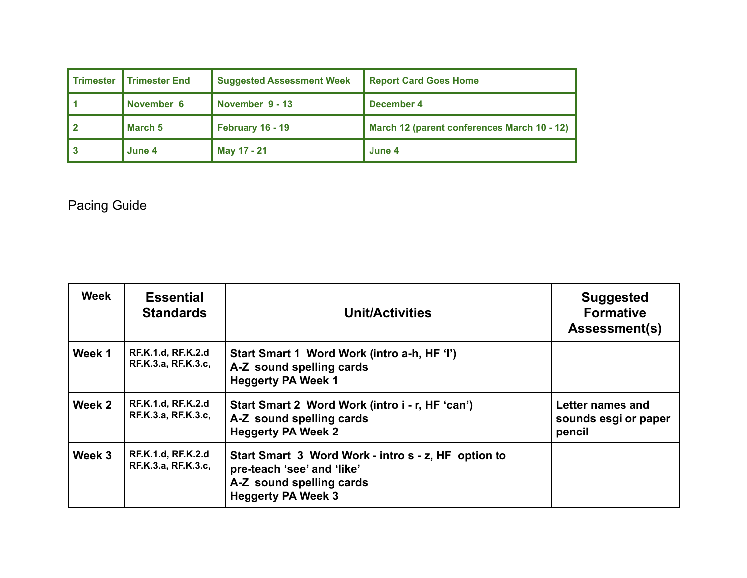| <b>Trimester</b> | <b>Trimester End</b> | <b>Suggested Assessment Week</b> | <b>Report Card Goes Home</b>                |
|------------------|----------------------|----------------------------------|---------------------------------------------|
|                  | November 6           | November 9 - 13                  | December 4                                  |
|                  | March 5              | February 16 - 19                 | March 12 (parent conferences March 10 - 12) |
|                  | June 4               | May 17 - 21                      | June 4                                      |

## Pacing Guide

| <b>Week</b> | <b>Essential</b><br><b>Standards</b>             | <b>Unit/Activities</b>                                                                                                                     | <b>Suggested</b><br><b>Formative</b><br><b>Assessment(s)</b> |
|-------------|--------------------------------------------------|--------------------------------------------------------------------------------------------------------------------------------------------|--------------------------------------------------------------|
| Week 1      | <b>RF.K.1.d, RF.K.2.d</b><br>RF.K.3.a, RF.K.3.c, | Start Smart 1 Word Work (intro a-h, HF 'I')<br>A-Z sound spelling cards<br><b>Heggerty PA Week 1</b>                                       |                                                              |
| Week 2      | <b>RF.K.1.d, RF.K.2.d</b><br>RF.K.3.a, RF.K.3.c, | Start Smart 2 Word Work (intro i - r, HF 'can')<br>A-Z sound spelling cards<br><b>Heggerty PA Week 2</b>                                   | Letter names and<br>sounds esgi or paper<br>pencil           |
| Week 3      | <b>RF.K.1.d, RF.K.2.d</b><br>RF.K.3.a, RF.K.3.c, | Start Smart 3 Word Work - intro s - z, HF option to<br>pre-teach 'see' and 'like'<br>A-Z sound spelling cards<br><b>Heggerty PA Week 3</b> |                                                              |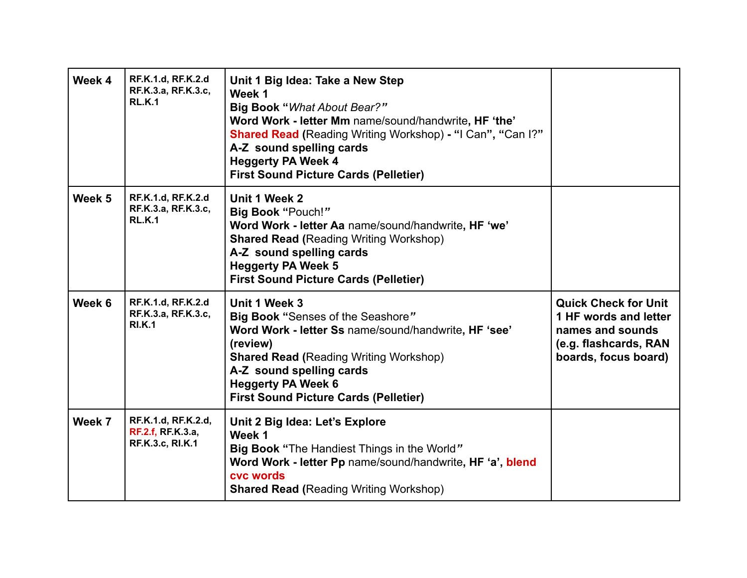| Week 4 | RF.K.1.d, RF.K.2.d<br>RF.K.3.a, RF.K.3.c,<br><b>RL.K.1</b>        | Unit 1 Big Idea: Take a New Step<br>Week 1<br>Big Book "What About Bear?"<br>Word Work - letter Mm name/sound/handwrite, HF 'the'<br><b>Shared Read (Reading Writing Workshop) - "I Can", "Can I?"</b><br>A-Z sound spelling cards<br><b>Heggerty PA Week 4</b><br><b>First Sound Picture Cards (Pelletier)</b> |                                                                                                                           |
|--------|-------------------------------------------------------------------|-----------------------------------------------------------------------------------------------------------------------------------------------------------------------------------------------------------------------------------------------------------------------------------------------------------------|---------------------------------------------------------------------------------------------------------------------------|
| Week 5 | RF.K.1.d, RF.K.2.d<br>RF.K.3.a, RF.K.3.c,<br><b>RL.K.1</b>        | Unit 1 Week 2<br>Big Book "Pouch!"<br>Word Work - letter Aa name/sound/handwrite, HF 'we'<br><b>Shared Read (Reading Writing Workshop)</b><br>A-Z sound spelling cards<br><b>Heggerty PA Week 5</b><br><b>First Sound Picture Cards (Pelletier)</b>                                                             |                                                                                                                           |
| Week 6 | <b>RF.K.1.d, RF.K.2.d</b><br>RF.K.3.a, RF.K.3.c,<br><b>RI.K.1</b> | Unit 1 Week 3<br>Big Book "Senses of the Seashore"<br>Word Work - letter Ss name/sound/handwrite, HF 'see'<br>(review)<br><b>Shared Read (Reading Writing Workshop)</b><br>A-Z sound spelling cards<br><b>Heggerty PA Week 6</b><br><b>First Sound Picture Cards (Pelletier)</b>                                | <b>Quick Check for Unit</b><br>1 HF words and letter<br>names and sounds<br>(e.g. flashcards, RAN<br>boards, focus board) |
| Week 7 | RF.K.1.d, RF.K.2.d,<br>RF.2.f, RF.K.3.a,<br>RF.K.3.c, RI.K.1      | Unit 2 Big Idea: Let's Explore<br>Week 1<br><b>Big Book "The Handiest Things in the World"</b><br>Word Work - letter Pp name/sound/handwrite, HF 'a', blend<br>cvc words<br><b>Shared Read (Reading Writing Workshop)</b>                                                                                       |                                                                                                                           |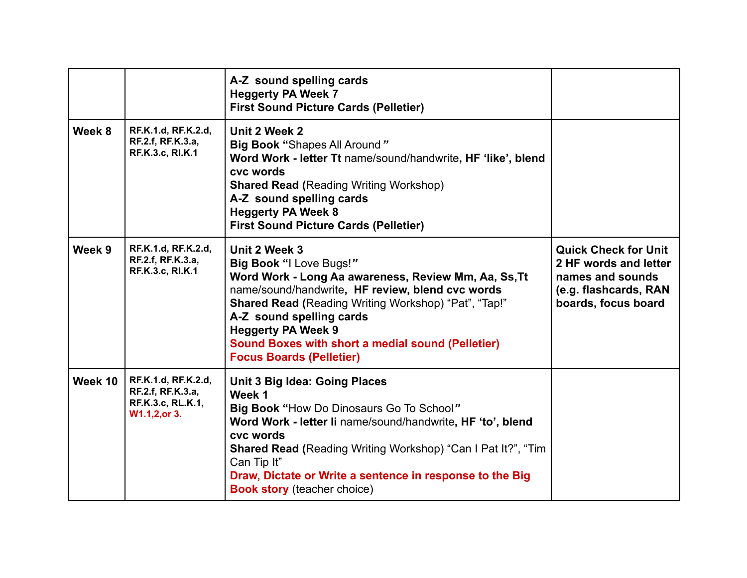|         |                                                                                | A-Z sound spelling cards<br><b>Heggerty PA Week 7</b><br><b>First Sound Picture Cards (Pelletier)</b>                                                                                                                                                                                                                                                                |                                                                                                                          |
|---------|--------------------------------------------------------------------------------|----------------------------------------------------------------------------------------------------------------------------------------------------------------------------------------------------------------------------------------------------------------------------------------------------------------------------------------------------------------------|--------------------------------------------------------------------------------------------------------------------------|
| Week 8  | RF.K.1.d, RF.K.2.d,<br>RF.2.f, RF.K.3.a,<br>RF.K.3.c, RI.K.1                   | Unit 2 Week 2<br>Big Book "Shapes All Around"<br>Word Work - letter Tt name/sound/handwrite, HF 'like', blend<br>cvc words<br><b>Shared Read (Reading Writing Workshop)</b><br>A-Z sound spelling cards<br><b>Heggerty PA Week 8</b><br><b>First Sound Picture Cards (Pelletier)</b>                                                                                 |                                                                                                                          |
| Week 9  | RF.K.1.d, RF.K.2.d,<br>RF.2.f, RF.K.3.a,<br>RF.K.3.c, RI.K.1                   | Unit 2 Week 3<br>Big Book "I Love Bugs!"<br>Word Work - Long Aa awareness, Review Mm, Aa, Ss, Tt<br>name/sound/handwrite, HF review, blend cvc words<br>Shared Read (Reading Writing Workshop) "Pat", "Tap!"<br>A-Z sound spelling cards<br><b>Heggerty PA Week 9</b><br><b>Sound Boxes with short a medial sound (Pelletier)</b><br><b>Focus Boards (Pelletier)</b> | <b>Quick Check for Unit</b><br>2 HF words and letter<br>names and sounds<br>(e.g. flashcards, RAN<br>boards, focus board |
| Week 10 | RF.K.1.d, RF.K.2.d,<br>RF.2.f, RF.K.3.a,<br>RF.K.3.c, RL.K.1,<br>W1.1,2, or 3. | <b>Unit 3 Big Idea: Going Places</b><br>Week 1<br>Big Book "How Do Dinosaurs Go To School"<br>Word Work - letter li name/sound/handwrite, HF 'to', blend<br>cvc words<br><b>Shared Read (Reading Writing Workshop) "Can I Pat It?", "Tim</b><br>Can Tip It"<br>Draw, Dictate or Write a sentence in response to the Big<br><b>Book story</b> (teacher choice)        |                                                                                                                          |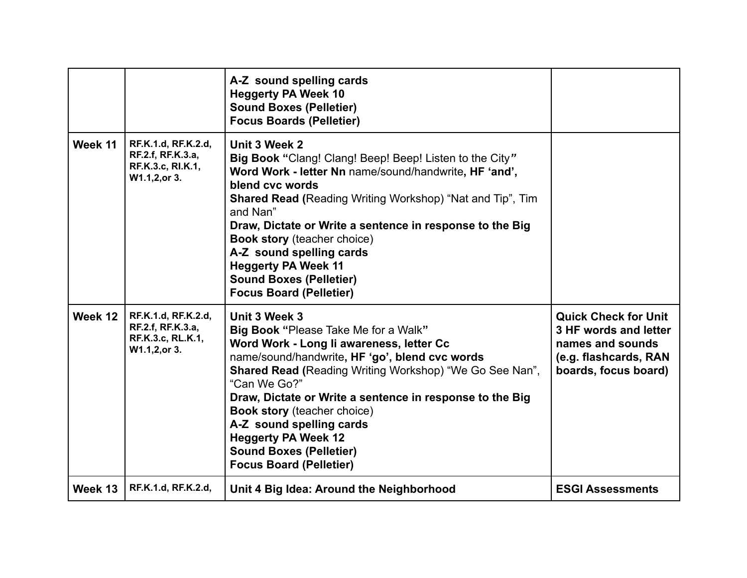|         |                                                                                | A-Z sound spelling cards<br><b>Heggerty PA Week 10</b><br><b>Sound Boxes (Pelletier)</b><br><b>Focus Boards (Pelletier)</b>                                                                                                                                                                                                                                                                                                                                                  |                                                                                                                           |
|---------|--------------------------------------------------------------------------------|------------------------------------------------------------------------------------------------------------------------------------------------------------------------------------------------------------------------------------------------------------------------------------------------------------------------------------------------------------------------------------------------------------------------------------------------------------------------------|---------------------------------------------------------------------------------------------------------------------------|
| Week 11 | RF.K.1.d, RF.K.2.d,<br>RF.2.f, RF.K.3.a,<br>RF.K.3.c, RI.K.1,<br>W1.1,2, or 3. | Unit 3 Week 2<br>Big Book "Clang! Clang! Beep! Beep! Listen to the City"<br>Word Work - letter Nn name/sound/handwrite, HF 'and',<br>blend cvc words<br><b>Shared Read (Reading Writing Workshop) "Nat and Tip", Tim</b><br>and Nan"<br>Draw, Dictate or Write a sentence in response to the Big<br><b>Book story (teacher choice)</b><br>A-Z sound spelling cards<br><b>Heggerty PA Week 11</b><br><b>Sound Boxes (Pelletier)</b><br><b>Focus Board (Pelletier)</b>         |                                                                                                                           |
| Week 12 | RF.K.1.d, RF.K.2.d,<br>RF.2.f, RF.K.3.a,<br>RF.K.3.c, RL.K.1,<br>W1.1,2, or 3. | Unit 3 Week 3<br><b>Big Book "Please Take Me for a Walk"</b><br>Word Work - Long li awareness, letter Cc<br>name/sound/handwrite, HF 'go', blend cvc words<br><b>Shared Read (Reading Writing Workshop) "We Go See Nan",</b><br>"Can We Go?"<br>Draw, Dictate or Write a sentence in response to the Big<br><b>Book story</b> (teacher choice)<br>A-Z sound spelling cards<br><b>Heggerty PA Week 12</b><br><b>Sound Boxes (Pelletier)</b><br><b>Focus Board (Pelletier)</b> | <b>Quick Check for Unit</b><br>3 HF words and letter<br>names and sounds<br>(e.g. flashcards, RAN<br>boards, focus board) |
| Week 13 | RF.K.1.d, RF.K.2.d,                                                            | Unit 4 Big Idea: Around the Neighborhood                                                                                                                                                                                                                                                                                                                                                                                                                                     | <b>ESGI Assessments</b>                                                                                                   |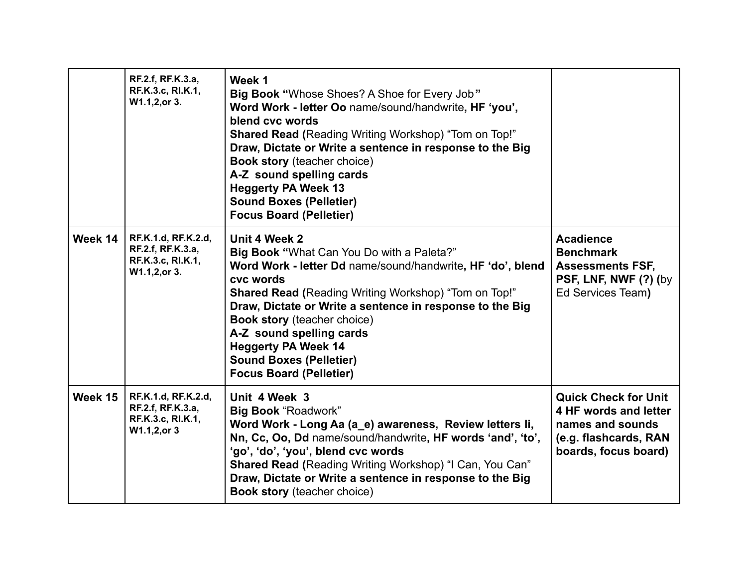|         | RF.2.f, RF.K.3.a,<br>RF.K.3.c, RI.K.1,<br>W1.1,2, or 3.                        | Week 1<br>Big Book "Whose Shoes? A Shoe for Every Job"<br>Word Work - letter Oo name/sound/handwrite, HF 'you',<br>blend cvc words<br><b>Shared Read (Reading Writing Workshop) "Tom on Top!"</b><br>Draw, Dictate or Write a sentence in response to the Big<br><b>Book story (teacher choice)</b><br>A-Z sound spelling cards<br><b>Heggerty PA Week 13</b><br><b>Sound Boxes (Pelletier)</b><br><b>Focus Board (Pelletier)</b>    |                                                                                                                           |
|---------|--------------------------------------------------------------------------------|--------------------------------------------------------------------------------------------------------------------------------------------------------------------------------------------------------------------------------------------------------------------------------------------------------------------------------------------------------------------------------------------------------------------------------------|---------------------------------------------------------------------------------------------------------------------------|
| Week 14 | RF.K.1.d, RF.K.2.d,<br>RF.2.f, RF.K.3.a,<br>RF.K.3.c, RI.K.1,<br>W1.1,2, or 3. | Unit 4 Week 2<br>Big Book "What Can You Do with a Paleta?"<br>Word Work - letter Dd name/sound/handwrite, HF 'do', blend<br>cvc words<br><b>Shared Read (Reading Writing Workshop) "Tom on Top!"</b><br>Draw, Dictate or Write a sentence in response to the Big<br><b>Book story (teacher choice)</b><br>A-Z sound spelling cards<br><b>Heggerty PA Week 14</b><br><b>Sound Boxes (Pelletier)</b><br><b>Focus Board (Pelletier)</b> | <b>Acadience</b><br><b>Benchmark</b><br><b>Assessments FSF,</b><br>PSF, LNF, NWF (?) (by<br>Ed Services Team)             |
| Week 15 | RF.K.1.d, RF.K.2.d,<br>RF.2.f, RF.K.3.a,<br>RF.K.3.c, RI.K.1,<br>W1.1,2, or 3  | Unit 4 Week 3<br><b>Big Book "Roadwork"</b><br>Word Work - Long Aa (a_e) awareness, Review letters li,<br>Nn, Cc, Oo, Dd name/sound/handwrite, HF words 'and', 'to',<br>'go', 'do', 'you', blend cvc words<br>Shared Read (Reading Writing Workshop) "I Can, You Can"<br>Draw, Dictate or Write a sentence in response to the Big<br><b>Book story</b> (teacher choice)                                                              | <b>Quick Check for Unit</b><br>4 HF words and letter<br>names and sounds<br>(e.g. flashcards, RAN<br>boards, focus board) |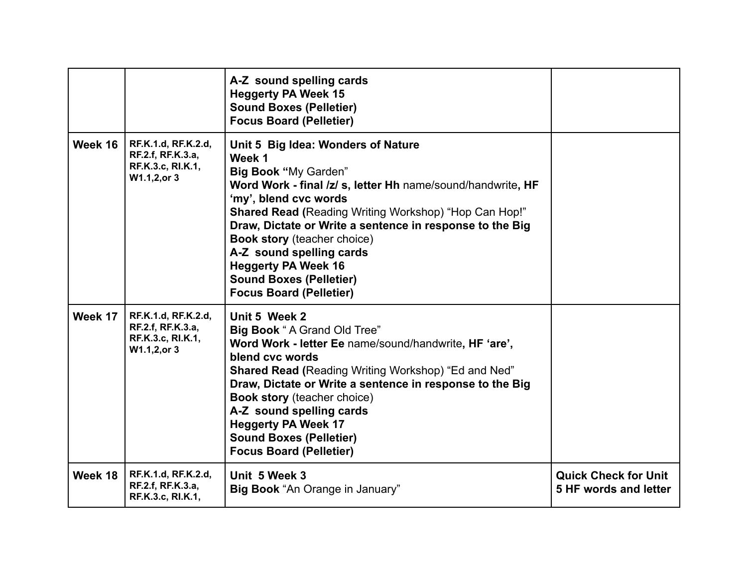|         |                                                                               | A-Z sound spelling cards<br><b>Heggerty PA Week 15</b><br><b>Sound Boxes (Pelletier)</b><br><b>Focus Board (Pelletier)</b>                                                                                                                                                                                                                                                                                                                                   |                                                      |
|---------|-------------------------------------------------------------------------------|--------------------------------------------------------------------------------------------------------------------------------------------------------------------------------------------------------------------------------------------------------------------------------------------------------------------------------------------------------------------------------------------------------------------------------------------------------------|------------------------------------------------------|
| Week 16 | RF.K.1.d, RF.K.2.d,<br>RF.2.f, RF.K.3.a,<br>RF.K.3.c, RI.K.1,<br>W1.1,2, or 3 | Unit 5 Big Idea: Wonders of Nature<br>Week 1<br>Big Book "My Garden"<br>Word Work - final /z/ s, letter Hh name/sound/handwrite, HF<br>'my', blend cvc words<br><b>Shared Read (Reading Writing Workshop) "Hop Can Hop!"</b><br>Draw, Dictate or Write a sentence in response to the Big<br><b>Book story</b> (teacher choice)<br>A-Z sound spelling cards<br><b>Heggerty PA Week 16</b><br><b>Sound Boxes (Pelletier)</b><br><b>Focus Board (Pelletier)</b> |                                                      |
| Week 17 | RF.K.1.d, RF.K.2.d,<br>RF.2.f, RF.K.3.a,<br>RF.K.3.c, RI.K.1,<br>W1.1,2, or 3 | Unit 5 Week 2<br><b>Big Book</b> "A Grand Old Tree"<br>Word Work - letter Ee name/sound/handwrite, HF 'are',<br>blend cvc words<br><b>Shared Read (Reading Writing Workshop) "Ed and Ned"</b><br>Draw, Dictate or Write a sentence in response to the Big<br><b>Book story</b> (teacher choice)<br>A-Z sound spelling cards<br><b>Heggerty PA Week 17</b><br><b>Sound Boxes (Pelletier)</b><br><b>Focus Board (Pelletier)</b>                                |                                                      |
| Week 18 | RF.K.1.d, RF.K.2.d,<br>RF.2.f, RF.K.3.a,<br>RF.K.3.c, RI.K.1,                 | Unit 5 Week 3<br>Big Book "An Orange in January"                                                                                                                                                                                                                                                                                                                                                                                                             | <b>Quick Check for Unit</b><br>5 HF words and letter |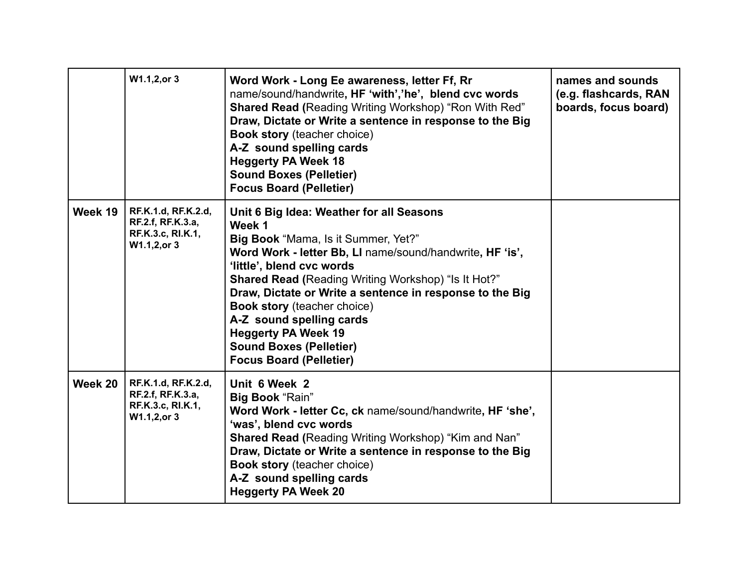|         | W1.1,2,or 3                                                                   | Word Work - Long Ee awareness, letter Ff, Rr<br>name/sound/handwrite, HF 'with','he', blend cvc words<br><b>Shared Read (Reading Writing Workshop) "Ron With Red"</b><br>Draw, Dictate or Write a sentence in response to the Big<br><b>Book story</b> (teacher choice)<br>A-Z sound spelling cards<br><b>Heggerty PA Week 18</b><br><b>Sound Boxes (Pelletier)</b><br><b>Focus Board (Pelletier)</b>                                                                            | names and sounds<br>(e.g. flashcards, RAN<br>boards, focus board) |
|---------|-------------------------------------------------------------------------------|----------------------------------------------------------------------------------------------------------------------------------------------------------------------------------------------------------------------------------------------------------------------------------------------------------------------------------------------------------------------------------------------------------------------------------------------------------------------------------|-------------------------------------------------------------------|
| Week 19 | RF.K.1.d, RF.K.2.d,<br>RF.2.f, RF.K.3.a,<br>RF.K.3.c, RI.K.1,<br>W1.1,2, or 3 | Unit 6 Big Idea: Weather for all Seasons<br>Week 1<br>Big Book "Mama, Is it Summer, Yet?"<br>Word Work - letter Bb, LI name/sound/handwrite, HF 'is',<br>'little', blend cvc words<br><b>Shared Read (Reading Writing Workshop) "Is It Hot?"</b><br>Draw, Dictate or Write a sentence in response to the Big<br><b>Book story</b> (teacher choice)<br>A-Z sound spelling cards<br><b>Heggerty PA Week 19</b><br><b>Sound Boxes (Pelletier)</b><br><b>Focus Board (Pelletier)</b> |                                                                   |
| Week 20 | RF.K.1.d, RF.K.2.d,<br>RF.2.f, RF.K.3.a,<br>RF.K.3.c, RI.K.1,<br>W1.1,2, or 3 | Unit 6 Week 2<br>Big Book "Rain"<br>Word Work - letter Cc, ck name/sound/handwrite, HF 'she',<br>'was', blend cvc words<br><b>Shared Read (Reading Writing Workshop) "Kim and Nan"</b><br>Draw, Dictate or Write a sentence in response to the Big<br><b>Book story</b> (teacher choice)<br>A-Z sound spelling cards<br><b>Heggerty PA Week 20</b>                                                                                                                               |                                                                   |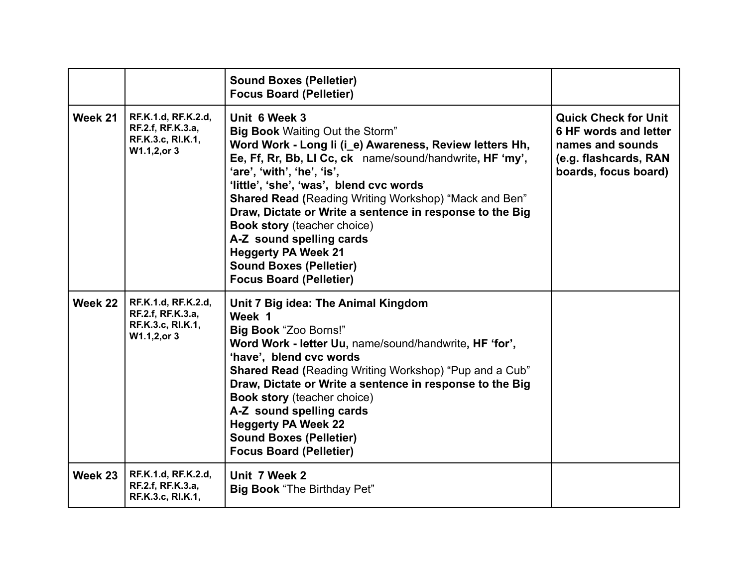|         |                                                                               | <b>Sound Boxes (Pelletier)</b><br><b>Focus Board (Pelletier)</b>                                                                                                                                                                                                                                                                                                                                                                                                                                                                                        |                                                                                                                           |
|---------|-------------------------------------------------------------------------------|---------------------------------------------------------------------------------------------------------------------------------------------------------------------------------------------------------------------------------------------------------------------------------------------------------------------------------------------------------------------------------------------------------------------------------------------------------------------------------------------------------------------------------------------------------|---------------------------------------------------------------------------------------------------------------------------|
| Week 21 | RF.K.1.d, RF.K.2.d,<br>RF.2.f, RF.K.3.a,<br>RF.K.3.c, RI.K.1,<br>W1.1,2, or 3 | Unit 6 Week 3<br><b>Big Book Waiting Out the Storm"</b><br>Word Work - Long Ii (i e) Awareness, Review letters Hh,<br>Ee, Ff, Rr, Bb, LI Cc, ck name/sound/handwrite, HF 'my',<br>'are', 'with', 'he', 'is',<br>'little', 'she', 'was', blend cvc words<br><b>Shared Read (Reading Writing Workshop) "Mack and Ben"</b><br>Draw, Dictate or Write a sentence in response to the Big<br><b>Book story</b> (teacher choice)<br>A-Z sound spelling cards<br><b>Heggerty PA Week 21</b><br><b>Sound Boxes (Pelletier)</b><br><b>Focus Board (Pelletier)</b> | <b>Quick Check for Unit</b><br>6 HF words and letter<br>names and sounds<br>(e.g. flashcards, RAN<br>boards, focus board) |
| Week 22 | RF.K.1.d, RF.K.2.d,<br>RF.2.f, RF.K.3.a,<br>RF.K.3.c, RI.K.1,<br>W1.1,2, or 3 | Unit 7 Big idea: The Animal Kingdom<br>Week 1<br>Big Book "Zoo Borns!"<br>Word Work - letter Uu, name/sound/handwrite, HF 'for',<br>'have', blend cvc words<br><b>Shared Read (Reading Writing Workshop) "Pup and a Cub"</b><br>Draw, Dictate or Write a sentence in response to the Big<br><b>Book story</b> (teacher choice)<br>A-Z sound spelling cards<br><b>Heggerty PA Week 22</b><br><b>Sound Boxes (Pelletier)</b><br><b>Focus Board (Pelletier)</b>                                                                                            |                                                                                                                           |
| Week 23 | RF.K.1.d, RF.K.2.d,<br>RF.2.f, RF.K.3.a,<br>RF.K.3.c, RI.K.1,                 | Unit 7 Week 2<br><b>Big Book</b> "The Birthday Pet"                                                                                                                                                                                                                                                                                                                                                                                                                                                                                                     |                                                                                                                           |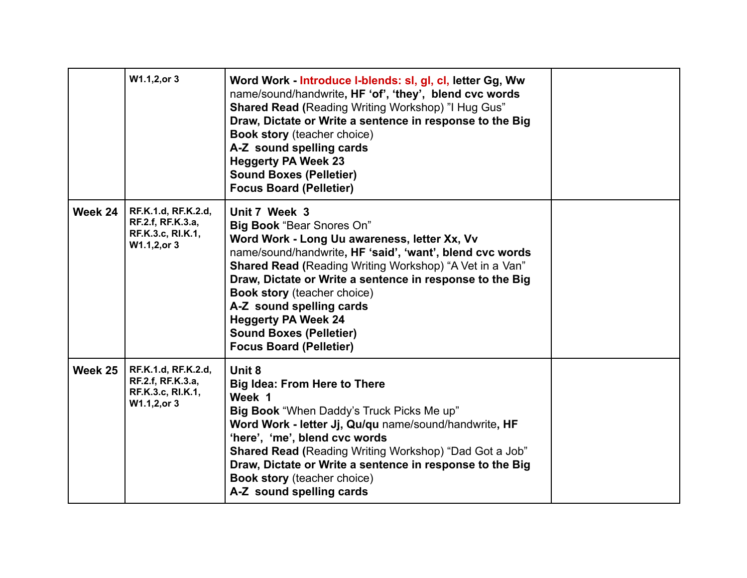|         | W1.1,2,or 3                                                                   | Word Work - Introduce I-blends: sl, gl, cl, letter Gg, Ww<br>name/sound/handwrite, HF 'of', 'they', blend cvc words<br><b>Shared Read (Reading Writing Workshop) "I Hug Gus"</b><br>Draw, Dictate or Write a sentence in response to the Big<br><b>Book story (teacher choice)</b><br>A-Z sound spelling cards<br><b>Heggerty PA Week 23</b><br><b>Sound Boxes (Pelletier)</b><br><b>Focus Board (Pelletier)</b>                                                |  |
|---------|-------------------------------------------------------------------------------|-----------------------------------------------------------------------------------------------------------------------------------------------------------------------------------------------------------------------------------------------------------------------------------------------------------------------------------------------------------------------------------------------------------------------------------------------------------------|--|
| Week 24 | RF.K.1.d, RF.K.2.d,<br>RF.2.f, RF.K.3.a,<br>RF.K.3.c, RI.K.1,<br>W1.1,2, or 3 | Unit 7 Week 3<br><b>Big Book "Bear Snores On"</b><br>Word Work - Long Uu awareness, letter Xx, Vv<br>name/sound/handwrite, HF 'said', 'want', blend cvc words<br><b>Shared Read (Reading Writing Workshop) "A Vet in a Van"</b><br>Draw, Dictate or Write a sentence in response to the Big<br><b>Book story (teacher choice)</b><br>A-Z sound spelling cards<br><b>Heggerty PA Week 24</b><br><b>Sound Boxes (Pelletier)</b><br><b>Focus Board (Pelletier)</b> |  |
| Week 25 | RF.K.1.d, RF.K.2.d,<br>RF.2.f, RF.K.3.a,<br>RF.K.3.c, RI.K.1,<br>W1.1,2, or 3 | Unit 8<br><b>Big Idea: From Here to There</b><br>Week 1<br>Big Book "When Daddy's Truck Picks Me up"<br>Word Work - letter Jj, Qu/qu name/sound/handwrite, HF<br>'here', 'me', blend cvc words<br><b>Shared Read (Reading Writing Workshop) "Dad Got a Job"</b><br>Draw, Dictate or Write a sentence in response to the Big<br><b>Book story</b> (teacher choice)<br>A-Z sound spelling cards                                                                   |  |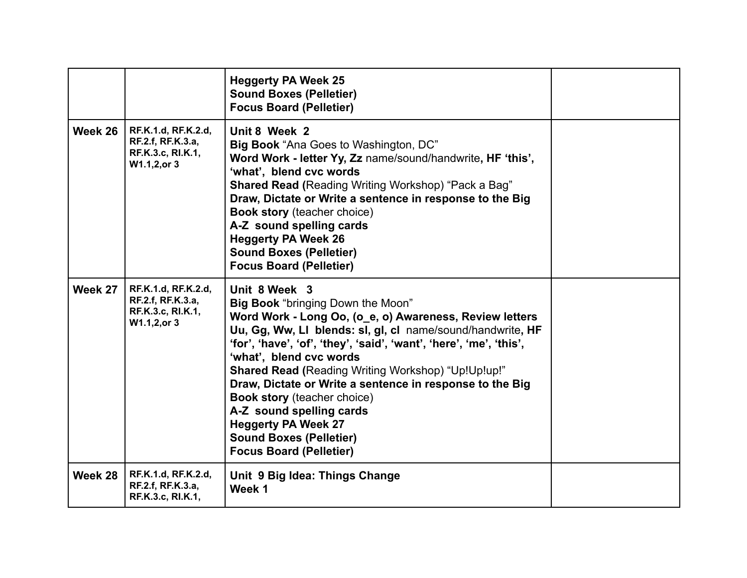|         |                                                                               | <b>Heggerty PA Week 25</b><br><b>Sound Boxes (Pelletier)</b><br><b>Focus Board (Pelletier)</b>                                                                                                                                                                                                                                                                                                                                                                                                                                                                            |  |
|---------|-------------------------------------------------------------------------------|---------------------------------------------------------------------------------------------------------------------------------------------------------------------------------------------------------------------------------------------------------------------------------------------------------------------------------------------------------------------------------------------------------------------------------------------------------------------------------------------------------------------------------------------------------------------------|--|
| Week 26 | RF.K.1.d, RF.K.2.d,<br>RF.2.f, RF.K.3.a,<br>RF.K.3.c, RI.K.1,<br>W1.1,2, or 3 | Unit 8 Week 2<br>Big Book "Ana Goes to Washington, DC"<br>Word Work - letter Yy, Zz name/sound/handwrite, HF 'this',<br>'what', blend cvc words<br><b>Shared Read (Reading Writing Workshop) "Pack a Bag"</b><br>Draw, Dictate or Write a sentence in response to the Big<br><b>Book story</b> (teacher choice)<br>A-Z sound spelling cards<br><b>Heggerty PA Week 26</b><br><b>Sound Boxes (Pelletier)</b><br><b>Focus Board (Pelletier)</b>                                                                                                                             |  |
| Week 27 | RF.K.1.d, RF.K.2.d,<br>RF.2.f, RF.K.3.a,<br>RF.K.3.c, RI.K.1,<br>W1.1,2, or 3 | Unit 8 Week 3<br><b>Big Book</b> "bringing Down the Moon"<br>Word Work - Long Oo, (o_e, o) Awareness, Review letters<br>Uu, Gg, Ww, LI blends: sl, gl, cl name/sound/handwrite, HF<br>'for', 'have', 'of', 'they', 'said', 'want', 'here', 'me', 'this',<br>'what', blend cvc words<br>Shared Read (Reading Writing Workshop) "Up!Up!up!"<br>Draw, Dictate or Write a sentence in response to the Big<br><b>Book story</b> (teacher choice)<br>A-Z sound spelling cards<br><b>Heggerty PA Week 27</b><br><b>Sound Boxes (Pelletier)</b><br><b>Focus Board (Pelletier)</b> |  |
| Week 28 | RF.K.1.d, RF.K.2.d,<br>RF.2.f, RF.K.3.a,<br>RF.K.3.c, RI.K.1,                 | Unit 9 Big Idea: Things Change<br>Week 1                                                                                                                                                                                                                                                                                                                                                                                                                                                                                                                                  |  |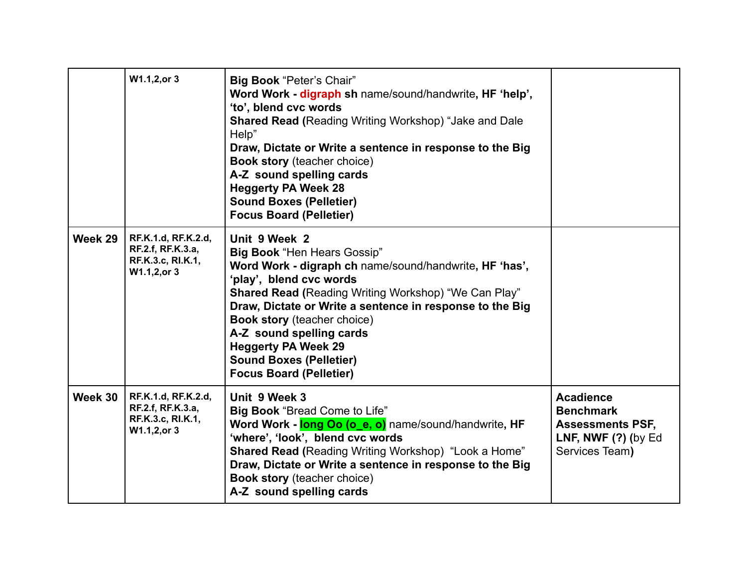|         | W1.1,2,or 3                                                                   | Big Book "Peter's Chair"<br>Word Work - digraph sh name/sound/handwrite, HF 'help',<br>'to', blend cvc words<br><b>Shared Read (Reading Writing Workshop) "Jake and Dale</b><br>Help"<br>Draw, Dictate or Write a sentence in response to the Big<br><b>Book story</b> (teacher choice)<br>A-Z sound spelling cards<br><b>Heggerty PA Week 28</b><br><b>Sound Boxes (Pelletier)</b><br><b>Focus Board (Pelletier)</b>                   |                                                                                                            |
|---------|-------------------------------------------------------------------------------|-----------------------------------------------------------------------------------------------------------------------------------------------------------------------------------------------------------------------------------------------------------------------------------------------------------------------------------------------------------------------------------------------------------------------------------------|------------------------------------------------------------------------------------------------------------|
| Week 29 | RF.K.1.d, RF.K.2.d,<br>RF.2.f, RF.K.3.a,<br>RF.K.3.c, RI.K.1,<br>W1.1,2, or 3 | Unit 9 Week 2<br><b>Big Book "Hen Hears Gossip"</b><br>Word Work - digraph ch name/sound/handwrite, HF 'has',<br>'play', blend cvc words<br><b>Shared Read (Reading Writing Workshop) "We Can Play"</b><br>Draw, Dictate or Write a sentence in response to the Big<br><b>Book story (teacher choice)</b><br>A-Z sound spelling cards<br><b>Heggerty PA Week 29</b><br><b>Sound Boxes (Pelletier)</b><br><b>Focus Board (Pelletier)</b> |                                                                                                            |
| Week 30 | RF.K.1.d, RF.K.2.d,<br>RF.2.f, RF.K.3.a,<br>RF.K.3.c, RI.K.1,<br>W1.1,2, or 3 | Unit 9 Week 3<br><b>Big Book</b> "Bread Come to Life"<br>Word Work - long Oo (o_e, o) name/sound/handwrite, HF<br>'where', 'look', blend cvc words<br><b>Shared Read (Reading Writing Workshop)</b> "Look a Home"<br>Draw, Dictate or Write a sentence in response to the Big<br><b>Book story (teacher choice)</b><br>A-Z sound spelling cards                                                                                         | <b>Acadience</b><br><b>Benchmark</b><br><b>Assessments PSF,</b><br>LNF, NWF $(?)$ (by Ed<br>Services Team) |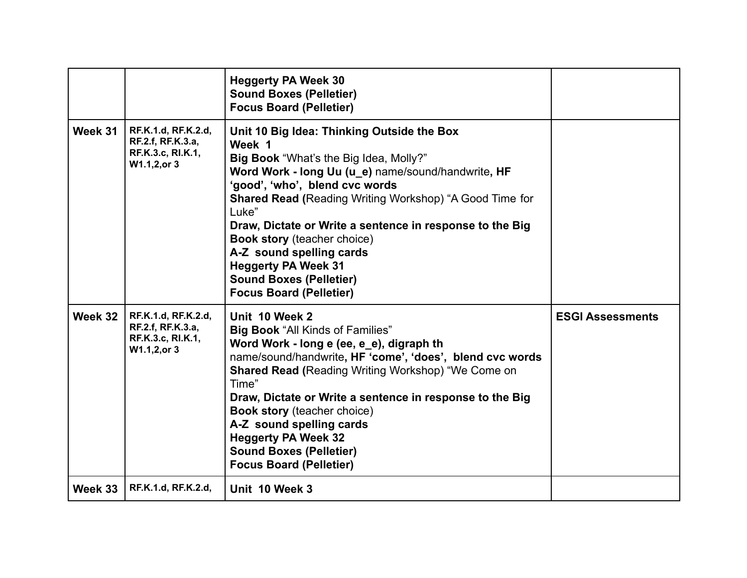|         |                                                                               | <b>Heggerty PA Week 30</b><br><b>Sound Boxes (Pelletier)</b><br><b>Focus Board (Pelletier)</b>                                                                                                                                                                                                                                                                                                                                                                                                    |                         |
|---------|-------------------------------------------------------------------------------|---------------------------------------------------------------------------------------------------------------------------------------------------------------------------------------------------------------------------------------------------------------------------------------------------------------------------------------------------------------------------------------------------------------------------------------------------------------------------------------------------|-------------------------|
| Week 31 | RF.K.1.d, RF.K.2.d,<br>RF.2.f, RF.K.3.a,<br>RF.K.3.c, RI.K.1,<br>W1.1,2, or 3 | Unit 10 Big Idea: Thinking Outside the Box<br>Week 1<br>Big Book "What's the Big Idea, Molly?"<br>Word Work - long Uu (u_e) name/sound/handwrite, HF<br>'good', 'who', blend cvc words<br><b>Shared Read (Reading Writing Workshop) "A Good Time for</b><br>Luke"<br>Draw, Dictate or Write a sentence in response to the Big<br><b>Book story</b> (teacher choice)<br>A-Z sound spelling cards<br><b>Heggerty PA Week 31</b><br><b>Sound Boxes (Pelletier)</b><br><b>Focus Board (Pelletier)</b> |                         |
| Week 32 | RF.K.1.d, RF.K.2.d,<br>RF.2.f, RF.K.3.a,<br>RF.K.3.c, RI.K.1,<br>W1.1,2, or 3 | Unit 10 Week 2<br><b>Big Book "All Kinds of Families"</b><br>Word Work - long e (ee, e_e), digraph th<br>name/sound/handwrite, HF 'come', 'does', blend cvc words<br><b>Shared Read (Reading Writing Workshop) "We Come on</b><br>Time"<br>Draw, Dictate or Write a sentence in response to the Big<br><b>Book story (teacher choice)</b><br>A-Z sound spelling cards<br><b>Heggerty PA Week 32</b><br><b>Sound Boxes (Pelletier)</b><br><b>Focus Board (Pelletier)</b>                           | <b>ESGI Assessments</b> |
| Week 33 | RF.K.1.d, RF.K.2.d,                                                           | Unit 10 Week 3                                                                                                                                                                                                                                                                                                                                                                                                                                                                                    |                         |